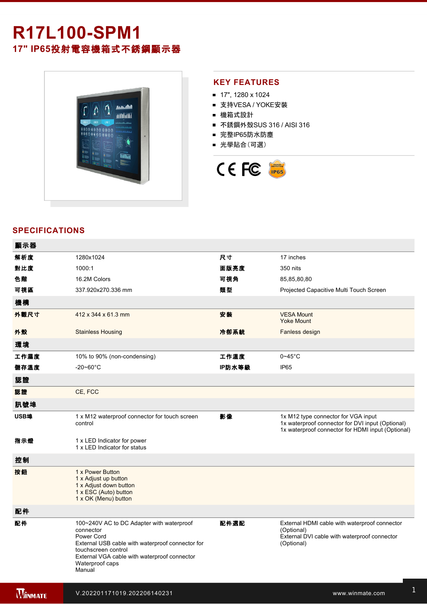# **R17L100-SPM1 17" IP65**投射電容機箱式不銹鋼顯示器



#### **KEY FEATURES**

- 17", 1280 x 1024
- 支持VESA / YOKE安裝
- 機箱式設計
- 不銹鋼外殼SUS 316 / AISI 316
- 完整IP65防水防塵
- 光學貼合(可選)



### **SPECIFICATIONS**

電源規格 12V DC (M12 type)

| 顯示器            |                                                                                                                                                                                                                              |        |                                                                                                                                              |
|----------------|------------------------------------------------------------------------------------------------------------------------------------------------------------------------------------------------------------------------------|--------|----------------------------------------------------------------------------------------------------------------------------------------------|
| 解析度            | 1280x1024                                                                                                                                                                                                                    | 尺寸     | 17 inches                                                                                                                                    |
| 對比度            | 1000:1                                                                                                                                                                                                                       | 面版亮度   | 350 nits                                                                                                                                     |
| 色階             | 16.2M Colors                                                                                                                                                                                                                 | 可視角    | 85,85,80,80                                                                                                                                  |
| 可視區            | 337.920x270.336 mm                                                                                                                                                                                                           | 類型     | Projected Capacitive Multi Touch Screen                                                                                                      |
| 機構             |                                                                                                                                                                                                                              |        |                                                                                                                                              |
| 外觀尺寸           | 412 x 344 x 61.3 mm                                                                                                                                                                                                          | 安装     | <b>VESA Mount</b><br><b>Yoke Mount</b>                                                                                                       |
| 外殼             | <b>Stainless Housing</b>                                                                                                                                                                                                     | 冷卻系統   | Fanless design                                                                                                                               |
| 環境             |                                                                                                                                                                                                                              |        |                                                                                                                                              |
| 工作濕度           | 10% to 90% (non-condensing)                                                                                                                                                                                                  | 工作溫度   | $0 - 45$ °C                                                                                                                                  |
| 儲存溫度           | $-20 - 60^{\circ}$ C                                                                                                                                                                                                         | IP防水等級 | <b>IP65</b>                                                                                                                                  |
| 認證             |                                                                                                                                                                                                                              |        |                                                                                                                                              |
| 認證             | CE, FCC                                                                                                                                                                                                                      |        |                                                                                                                                              |
| 訊號埠            |                                                                                                                                                                                                                              |        |                                                                                                                                              |
| USB埠           | 1 x M12 waterproof connector for touch screen<br>control                                                                                                                                                                     | 影像     | 1x M12 type connector for VGA input<br>1x waterproof connector for DVI input (Optional)<br>1x waterproof connector for HDMI input (Optional) |
| 指示燈            | 1 x LED Indicator for power<br>1 x LED Indicator for status                                                                                                                                                                  |        |                                                                                                                                              |
| 控制             |                                                                                                                                                                                                                              |        |                                                                                                                                              |
| 按鈕             | 1 x Power Button<br>1 x Adjust up button<br>1 x Adjust down button<br>1 x ESC (Auto) button<br>1 x OK (Menu) button                                                                                                          |        |                                                                                                                                              |
| 配件             |                                                                                                                                                                                                                              |        |                                                                                                                                              |
| 配件             | 100~240V AC to DC Adapter with waterproof<br>connector<br>Power Cord<br>External USB cable with waterproof connector for<br>touchscreen control<br>External VGA cable with waterproof connector<br>Waterproof caps<br>Manual | 配件選配   | External HDMI cable with waterproof connector<br>(Optional)<br>External DVI cable with waterproof connector<br>(Optional)                    |
| <b>WINNATE</b> | V.202201171019.202206140231                                                                                                                                                                                                  |        | www.winmate.com                                                                                                                              |